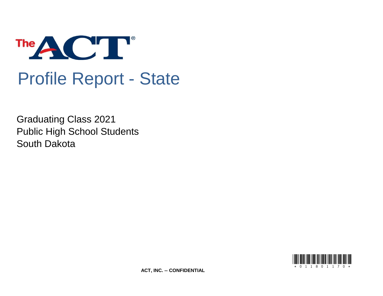

# Profile Report - State

Graduating Class 2021 Public High School Students South Dakota

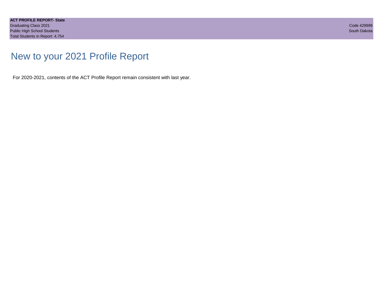### New to your 2021 Profile Report

For 2020-2021, contents of the ACT Profile Report remain consistent with last year.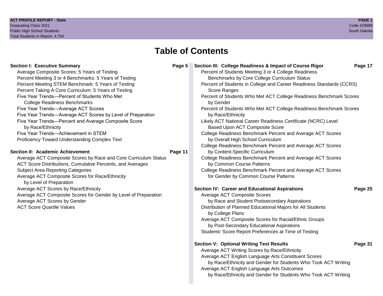### **Table of Contents**

| <b>Section I: Executive Summary</b>                             | Page 5  | Section III: College Readiness & Impact of Course Rigor                         | Page 17 |
|-----------------------------------------------------------------|---------|---------------------------------------------------------------------------------|---------|
| Average Composite Scores: 5 Years of Testing                    |         | Percent of Students Meeting 3 or 4 College Readiness                            |         |
| Percent Meeting 3 or 4 Benchmarks: 5 Years of Testing           |         | Benchmarks by Core College Curriculum Status                                    |         |
| Percent Meeting STEM Benchmark: 5 Years of Testing              |         | Percent of Students in College and Career Readiness Standards (CCRS)            |         |
| Percent Taking A Core Curriculum: 5 Years of Testing            |         | Score Ranges                                                                    |         |
| Five Year Trends--Percent of Students Who Met                   |         | Percent of Students Who Met ACT College Readiness Benchmark Scores              |         |
| <b>College Readiness Benchmarks</b>                             |         | by Gender                                                                       |         |
| Five Year Trends-Average ACT Scores                             |         | Percent of Students Who Met ACT College Readiness Benchmark Scores              |         |
| Five Year Trends-Average ACT Scores by Level of Preparation     |         | by Race/Ethnicity                                                               |         |
| Five Year Trends-Percent and Average Composite Score            |         | Likely ACT National Career Readiness Certificate (NCRC) Level                   |         |
| by Race/Ethnicity                                               |         | Based Upon ACT Composite Score                                                  |         |
| Five Year Trends-Achievement in STEM                            |         | College Readiness Benchmark Percent and Average ACT Scores                      |         |
| Proficiency Toward Understanding Complex Text                   |         | by Overall High School Curriculum                                               |         |
|                                                                 |         | College Readiness Benchmark Percent and Average ACT Scores                      |         |
| <b>Section II: Academic Achievement</b>                         | Page 11 | by Content-Specific Curriculum                                                  |         |
| Average ACT Composite Scores by Race and Core Curriculum Status |         | College Readiness Benchmark Percent and Average ACT Scores                      |         |
| ACT Score Distributions, Cumulative Percents, and Averages      |         | by Common Course Patterns                                                       |         |
| <b>Subject Area Reporting Categories</b>                        |         | College Readiness Benchmark Percent and Average ACT Scores                      |         |
| Average ACT Composite Scores for Race/Ethnicity                 |         | for Gender by Common Course Patterns                                            |         |
| by Level of Preparation                                         |         |                                                                                 |         |
| Average ACT Scores by Race/Ethnicity                            |         | <b>Section IV: Career and Educational Aspirations</b>                           | Page 25 |
| Average ACT Composite Scores for Gender by Level of Preparation |         | Average ACT Composite Scores                                                    |         |
| Average ACT Scores by Gender                                    |         | by Race and Student Postsecondary Aspirations                                   |         |
| <b>ACT Score Quartile Values</b>                                |         | Distribution of Planned Educational Majors for All Students<br>by College Plans |         |
|                                                                 |         | Average ACT Composite Scores for Racial/Ethnic Groups                           |         |
|                                                                 |         | by Post-Secondary Educational Aspirations                                       |         |
|                                                                 |         | Students' Score Report Preferences at Time of Testing                           |         |
|                                                                 |         | <b>Section V: Optional Writing Test Results</b>                                 | Page 31 |
|                                                                 |         | Average ACT Writing Scores by Race/Ethnicity                                    |         |
|                                                                 |         | Average ACT English Language Arts Constituent Scores                            |         |
|                                                                 |         | by Race/Ethnicity and Gender for Students Who Took ACT Writing                  |         |
|                                                                 |         | Average ACT English Language Arts Outcomes                                      |         |

by Race/Ethnicity and Gender for Students Who Took ACT Writing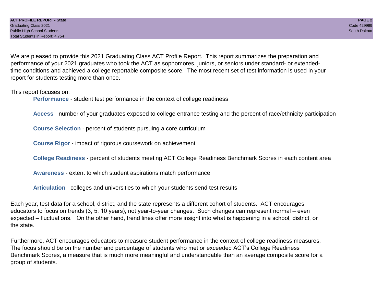We are pleased to provide this 2021 Graduating Class ACT Profile Report. This report summarizes the preparation and performance of your 2021 graduates who took the ACT as sophomores, juniors, or seniors under standard- or extendedtime conditions and achieved a college reportable composite score. The most recent set of test information is used in your report for students testing more than once.

This report focuses on:

**Performance** - student test performance in the context of college readiness

**Access** - number of your graduates exposed to college entrance testing and the percent of race/ethnicity participation

**Course Selection** - percent of students pursuing a core curriculum

**Course Rigor** - impact of rigorous coursework on achievement

**College Readiness** - percent of students meeting ACT College Readiness Benchmark Scores in each content area

**Awareness** - extent to which student aspirations match performance

**Articulation** - colleges and universities to which your students send test results

Each year, test data for a school, district, and the state represents a different cohort of students. ACT encourages educators to focus on trends (3, 5, 10 years), not year-to-year changes. Such changes can represent normal – even expected – fluctuations. On the other hand, trend lines offer more insight into what is happening in a school, district, or the state.

Furthermore, ACT encourages educators to measure student performance in the context of college readiness measures. The focus should be on the number and percentage of students who met or exceeded ACT's College Readiness Benchmark Scores, a measure that is much more meaningful and understandable than an average composite score for a group of students.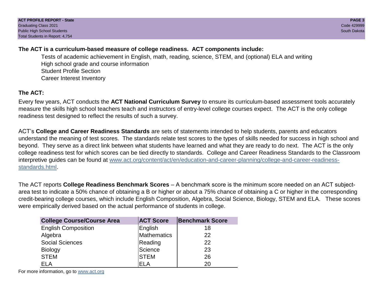### **The ACT is a curriculum-based measure of college readiness. ACT components include:**

Tests of academic achievement in English, math, reading, science, STEM, and (optional) ELA and writing High school grade and course information Student Profile Section Career Interest Inventory

### **The ACT:**

Every few years, ACT conducts the **ACT National Curriculum Survey** to ensure its curriculum-based assessment tools accurately measure the skills high school teachers teach and instructors of entry-level college courses expect. The ACT is the only college readiness test designed to reflect the results of such a survey.

ACT's **College and Career Readiness Standards** are sets of statements intended to help students, parents and educators understand the meaning of test scores. The standards relate test scores to the types of skills needed for success in high school and beyond. They serve as a direct link between what students have learned and what they are ready to do next. The ACT is the only college readiness test for which scores can be tied directly to standards. College and Career Readiness Standards to the Classroom interpretive guides can be found at www.act.org/content/act/en/education-and-career-planning/college-and-career-readinessstandards.html.

The ACT reports **College Readiness Benchmark Scores** – A benchmark score is the minimum score needed on an ACT subjectarea test to indicate a 50% chance of obtaining a B or higher or about a 75% chance of obtaining a C or higher in the corresponding credit-bearing college courses, which include English Composition, Algebra, Social Science, Biology, STEM and ELA. These scores were empirically derived based on the actual performance of students in college.

| <b>College Course/Course Area</b> | <b>ACT Score</b> | <b>Benchmark Score</b> |
|-----------------------------------|------------------|------------------------|
| <b>English Composition</b>        | English          | 18                     |
| Algebra                           | Mathematics      | 22                     |
| <b>Social Sciences</b>            | Reading          | 22                     |
| <b>Biology</b>                    | Science          | 23                     |
| <b>STEM</b>                       | <b>STEM</b>      | 26                     |
| FI A                              | FI A             | 20                     |

For more information, go to www.act.org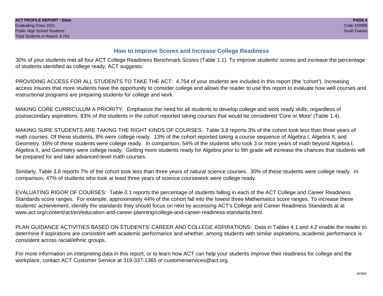### **How to Improve Scores and Increase College Readiness**

30% of your students met all four ACT College Readiness Benchmark Scores (Table 1.1). To improve students' scores and increase the percentage of students identified as college ready, ACT suggests:

PROVIDING ACCESS FOR ALL STUDENTS TO TAKE THE ACT: 4,754 of your students are included in this report (the 'cohort'). Increasing access insures that more students have the opportunity to consider college and allows the reader to use this report to evaluate how well courses and instructional programs are preparing students for college and work.

MAKING CORE CURRICULUM A PRIORITY: Emphasize the need for all students to develop college and work ready skills, regardless of postsecondary aspirations. 83% of the students in the cohort reported taking courses that would be considered 'Core or More' (Table 1.4).

MAKING SURE STUDENTS ARE TAKING THE RIGHT KINDS OF COURSES: Table 3.8 reports 3% of the cohort took less than three years of math courses. Of these students, 8% were college ready. 13% of the cohort reported taking a course sequence of Algebra I, Algebra II, and Geometry. 16% of these students were college ready. In comparison, 54% of the students who took 3 or more years of math beyond Algebra I, Algebra II, and Geometry were college ready. Getting more students ready for Algebra prior to 9th grade will increase the chances that students will be prepared for and take advanced-level math courses.

Similarly, Table 3.8 reports 7% of the cohort took less than three years of natural science courses. 30% of these students were college ready. In comparison, 47% of students who took at least three years of science coursework were college ready.

EVALUATING RIGOR OF COURSES: Table 3.1 reports the percentage of students falling in each of the ACT College and Career Readiness Standards score ranges. For example, approximately 44% of the cohort fall into the lowest three Mathematics score ranges. To increase these students' achievement, identify the standards they should focus on next by accessing ACT's College and Career Readiness Standards at at www.act.org/content/act/en/education-and-career-planning/college-and-career-readiness-standards.html.

PLAN GUIDANCE ACTIVITIES BASED ON STUDENTS' CAREER AND COLLEGE ASPIRATIONS: Data in Tables 4.1 and 4.2 enable the reader to determine if aspirations are consistent with academic performance and whether, among students with similar aspirations, academic performance is consistent across racial/ethnic groups.

For more information on interpreting data in this report, or to learn how ACT can help your students improve their readiness for college and the workplace, contact ACT Customer Service at 319-337-1365 or customerservices@act.org.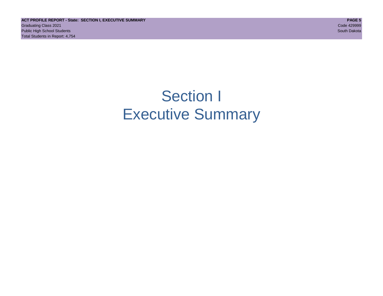## Section I Executive Summary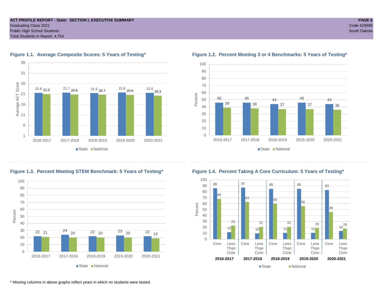#### **ACT PROFILE REPORT - State: SECTION I, EXECUTIVE SUMMARY PAGE 6** Graduating Class 2021 Code 429999 Public High School Students South Dakota Company of the Company of the Company of the Company of the Company of the Company of the Company of the Company of the Company of the Company of the Company of the Company of the C Total Students in Report: 4,754







#### **Figure 1.3. Percent Meeting STEM Benchmark: 5 Years of Testing\* Figure 1.4. Percent Taking A Core Curriculum: 5 Years of Testing\***



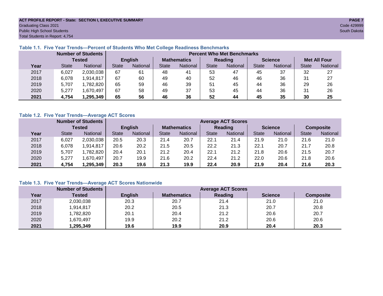#### **ACT PROFILE REPORT - State: SECTION I, EXECUTIVE SUMMARY PAGE 7**

Graduating Class 2021 Code 429999 Public High School Students South Dakota

Total Students in Report: 4,754

#### **Table 1.1. Five Year Trends—Percent of Students Who Met College Readiness Benchmarks**

|      |              | <b>Number of Students</b> |              | <b>Percent Who Met Benchmarks</b> |       |                    |                |          |              |                |                     |          |  |  |
|------|--------------|---------------------------|--------------|-----------------------------------|-------|--------------------|----------------|----------|--------------|----------------|---------------------|----------|--|--|
|      |              | Tested                    |              | <b>English</b>                    |       | <b>Mathematics</b> |                | Reading  |              | <b>Science</b> | <b>Met All Four</b> |          |  |  |
| Year | <b>State</b> | <b>National</b>           | <b>State</b> | National                          | State | National           | State          | National | <b>State</b> | National       | <b>State</b>        | National |  |  |
| 2017 | 6,027        | 2,030,038                 | 67           | 61                                | 48    | 41                 | 53             | 47       | 45           | 37             | 32                  | 27       |  |  |
| 2018 | 6,078        | 1,914,817                 | 67           | 60                                | 49    | 40                 | 52             | 46       | 46           | 36             | 31                  | 27       |  |  |
| 2019 | 5,707        | ,782,820                  | 65           | 59                                | 46    | 39                 | 5 <sup>1</sup> | 45       | 44           | 36             | 29                  | 26       |  |  |
| 2020 | 5,277        | .670,497                  | 67           | 58                                | 49    | 37                 | 53             | 45       | 44           | 36             | 31                  | 26       |  |  |
| 2021 | 4,754        | ,295,349                  | 65           | 56                                | 46    | 36                 | 52             | 44       | 45           | 35             | 30                  | 25       |  |  |

#### **Table 1.2. Five Year Trends—Average ACT Scores**

|      |              | <b>Number of Students</b> |              |                | <b>Average ACT Scores</b> |                    |       |                 |              |                |                  |          |  |  |
|------|--------------|---------------------------|--------------|----------------|---------------------------|--------------------|-------|-----------------|--------------|----------------|------------------|----------|--|--|
|      |              | Tested                    |              | <b>English</b> |                           | <b>Mathematics</b> |       | <b>Reading</b>  |              | <b>Science</b> | <b>Composite</b> |          |  |  |
| Year | <b>State</b> | <b>National</b>           | <b>State</b> | National       | <b>State</b>              | National           | State | <b>National</b> | <b>State</b> | National       | <b>State</b>     | National |  |  |
| 2017 | 6,027        | 2,030,038                 | 20.5         | 20.3           | 21.4                      | 20.7               | 22.1  | 21.4            | 21.9         | 21.0           | 21.6             | 21.0     |  |  |
| 2018 | 6,078        | 1,914,817                 | 20.6         | 20.2           | 21.5                      | 20.5               | 22.2  | 21.3            | 22.1         | 20.7           | 21.7             | 20.8     |  |  |
| 2019 | 5.707        | ,782,820                  | 20.4         | 20.1           | 21.2                      | 20.4               | 22.1  | 21.2            | 21.8         | 20.6           | 21.5             | 20.7     |  |  |
| 2020 | 5.277        | .670,497                  | 20.7         | 19.9           | 21.6                      | 20.2               | 22.4  | 21.2            | 22.0         | 20.6           | 21.8             | 20.6     |  |  |
| 2021 | 4,754        | 1,295,349                 | 20.3         | 19.6           | 21.3                      | 19.9               | 22.4  | 20.9            | 21.9         | 20.4           | 21.6             | 20.3     |  |  |

#### **Table 1.3. Five Year Trends—Average ACT Scores Nationwide**

|      | <b>Number of Students</b> |                |                    | <b>Average ACT Scores</b> |                |                  |
|------|---------------------------|----------------|--------------------|---------------------------|----------------|------------------|
| Year | <b>Tested</b>             | <b>English</b> | <b>Mathematics</b> | <b>Reading</b>            | <b>Science</b> | <b>Composite</b> |
| 2017 | 2,030,038                 | 20.3           | 20.7               | 21.4                      | 21.0           | 21.0             |
| 2018 | 1,914,817                 | 20.2           | 20.5               | 21.3                      | 20.7           | 20.8             |
| 2019 | ,782,820                  | 20.1           | 20.4               | 21.2                      | 20.6           | 20.7             |
| 2020 | ,670,497                  | 19.9           | 20.2               | 21.2                      | 20.6           | 20.6             |
| 2021 | ,295,349                  | 19.6           | 19.9               | 20.9                      | 20.4           | 20.3             |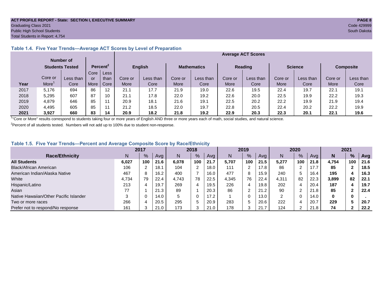#### **ACT PROFILE REPORT - State: SECTION I, EXECUTIVE SUMMARY PAGE 8** Graduating Class 2021 Code 429999 Public High School Students South Dakota (Control of the Control of the Control of the Control of the Control of the Control of the Control of the Control of the Control of the Control of the Control of the Control of the

|      |         |                        |      |                      |         |                |         |                    |         | <b>Average ACT Scores</b> |         |                   |         |                  |
|------|---------|------------------------|------|----------------------|---------|----------------|---------|--------------------|---------|---------------------------|---------|-------------------|---------|------------------|
|      |         | Number of              |      |                      |         |                |         |                    |         |                           |         |                   |         |                  |
|      |         | <b>Students Tested</b> |      | Percent <sup>2</sup> |         | <b>English</b> |         | <b>Mathematics</b> |         | <b>Reading</b>            |         | <b>Science</b>    |         | <b>Composite</b> |
|      |         |                        | Core | Less                 |         |                |         |                    |         |                           |         |                   |         |                  |
|      | Core or | Less than              | or   | than                 | Core or | Less than      | Core or | Less than          | Core or | Less than                 | Core or | Less than         | Core or | Less than        |
| Year | More    | Core                   | More | Core                 | More    | Core           | More    | Core               | More    | Core                      | More    | Core <sup>®</sup> | More    | Core             |
| 2017 | 5,176   | 694                    | 86   | 12                   | 21.1    | 17.7           | 21.9    | 19.0               | 22.6    | 19.5                      | 22.4    | 19.7              | 22.1    | 19.1             |
| 2018 | 5,295   | 607                    | 87   | 10                   | 21.1    | 17.8           | 22.0    | 19.2               | 22.6    | 20.0                      | 22.5    | 19.9              | 22.2    | 19.3             |
| 2019 | 4,879   | 646                    | 85   | 11                   | 20.9    | 18.1           | 21.6    | 19.1               | 22.5    | 20.2                      | 22.2    | 19.9              | 21.9    | 19.4             |
| 2020 | 4,495   | 605                    | 85   | 11                   | 21.2    | 18.5           | 22.0    | 19.7               | 22.8    | 20.5                      | 22.4    | 20.2              | 22.2    | 19.9             |
| 2021 | 3,927   | 660                    | 83   | 14                   | 20.9    | 18.2           | 21.8    | 19.2               | 22.9    | 20.3                      | 22.3    | 20.1              | 22.1    | 19.6             |

#### **Table 1.4. Five Year Trends—Average ACT Scores by Level of Preparation**

<sup>1</sup>"Core or More" results correspond to students taking four or more years of English AND three or more years each of math, social studies, and natural science.

 $2$ Percent of all students tested. Numbers will not add up to 100% due to student non-response.

#### **Table 1.5. Five Year Trends—Percent and Average Composite Score by Race/Ethnicity**

|                                        |       | 2017   |      |       | 2018          |          |       | 2019 |      |       | 2020 |      |       | 2021 |      |
|----------------------------------------|-------|--------|------|-------|---------------|----------|-------|------|------|-------|------|------|-------|------|------|
| <b>Race/Ethnicity</b>                  | N     | %      | Avg  | N     | $\frac{9}{6}$ | Avg      | N     | %    | Avg  | N     | %    | Avg  | N     | %    | Avg  |
| <b>All Students</b>                    | 6,027 | 100    | 21.6 | 6,078 | 100           | 21.7     | 5,707 | 100  | 21.5 | 5.277 | 100  | 21.8 | 4,754 | 100  | 21.6 |
| <b>Black/African American</b>          | 106   | $\sim$ | 18.1 | 104   |               | 18.0     | 111   |      | 17.8 | 86    | ົ    |      | 85    |      | 18.5 |
| American Indian/Alaska Native          | 467   | 8      | 16.2 | 400   |               | 16.0     | 477   | o    | 15.9 | 240   | 5    | 16.4 | 195   |      | 16.3 |
| White                                  | 4,734 | 79     | 22.4 | 4.743 | 78            | 22.5     | 4,345 | 76   | 22.4 | 4,311 | 82   | 22.3 | 3,899 | 82   | 22.1 |
| Hispanic/Latino                        | 213   | 4      | 19.7 | 269   | 4             | 19.5     | 226   | 4    | 19.8 | 202   |      | 20.4 | 187   |      | 19.7 |
| Asian                                  | 77    |        | 21.3 | 89    |               | 20.3     | 86    |      | 21.2 | 90    | ົ    | 21.8 | 85    |      | 22.4 |
| Native Hawaiian/Other Pacific Islander | 3     |        | 14.0 | 5     |               | $17.2$ . |       |      | 13.0 | 2     | 0    | 14.0 |       |      |      |
| Two or more races                      | 266   | 4      | 20.5 | 295   |               | 20.9     | 283   | 5    | 20.6 | 222   |      | 20.7 | 229   |      | 20.7 |
| Prefer not to respond/No response      | 161   | 3      | 21.0 | 173   |               | 21.0     | 178   |      | 21.7 | 124   | ົ    | 21.8 | 74    |      | 22.2 |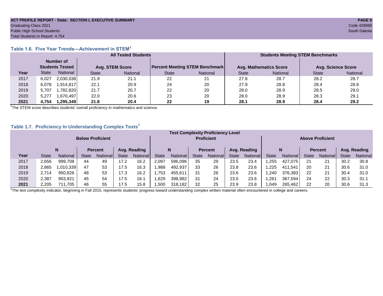#### **ACT PROFILE REPORT - State: SECTION I, EXECUTIVE SUMMARY PAGE 9** Graduating Class 2021 Code 429999 Public High School Students South Dakota (Control of the Control of the Control of the Control of the Control of the Control of the Control of the Control of the Control of the Control of the Control of the Control of the Total Students in Report: 4,754

#### **Table 1.6. Five Year Trends—Achievement in STEM<sup>1</sup>**

|      |       |                        |              | <b>All Tested Students</b> |              |                                       | <b>Students Meeting STEM Benchmarks</b> |                               |       |                           |  |  |  |
|------|-------|------------------------|--------------|----------------------------|--------------|---------------------------------------|-----------------------------------------|-------------------------------|-------|---------------------------|--|--|--|
|      |       | Number of              |              |                            |              |                                       |                                         |                               |       |                           |  |  |  |
|      |       | <b>Students Tested</b> |              | <b>Avg. STEM Score</b>     |              | <b>Percent Meeting STEM Benchmark</b> |                                         | <b>Avg. Mathematics Score</b> |       | <b>Avg. Science Score</b> |  |  |  |
| Year | State | National               | <b>State</b> | <b>National</b>            | <b>State</b> | National                              | State                                   | <b>National</b>               | State | <b>National</b>           |  |  |  |
| 2017 | 6.027 | 2.030.038              | 21.9         | 21.1                       | 22           | 21                                    | 27.8                                    | 28.7                          | 28.2  | 28.7                      |  |  |  |
| 2018 | 6.078 | 1,914,817              | 22.1         | 20.9                       | 24           | 20                                    | 27.9                                    | 28.8                          | 28.4  | 28.8                      |  |  |  |
| 2019 | 5.707 | 1,782,820              | 21.7         | 20.7                       | 22           | 20                                    | 28.0                                    | 28.9                          | 28.5  | 29.0                      |  |  |  |
| 2020 | 5.277 | ا 670.497. ا           | 22.0         | 20.6                       | 23           | 20                                    | 28.0                                    | 28.9                          | 28.3  | 29.1                      |  |  |  |
| 2021 | 4.754 | ا 295,349. ا           | 21.8         | 20.4                       | 22           | 19                                    | 28.1                                    | 28.9                          | 28.4  | 29.2                      |  |  |  |

<sup>1</sup>The STEM score describes students' overall proficiency in mathematics and science.

#### **Table 1.7. Proficiency In Understanding Complex Texts<sup>1</sup>**

|      |       |                 |              |                         |              |                 |              |          |              | <b>Text Complexity Proficiency Level</b> |              |                 |              |             |       |                         |              |              |
|------|-------|-----------------|--------------|-------------------------|--------------|-----------------|--------------|----------|--------------|------------------------------------------|--------------|-----------------|--------------|-------------|-------|-------------------------|--------------|--------------|
|      |       |                 |              | <b>Below Proficient</b> |              |                 |              |          |              | <b>Proficient</b>                        |              |                 |              |             |       | <b>Above Proficient</b> |              |              |
|      |       | N               |              | <b>Percent</b>          |              | Avg. Reading    |              |          |              | <b>Percent</b>                           |              | Avg. Reading    |              |             |       | <b>Percent</b>          |              | Avg. Reading |
| Year | State | <b>National</b> | <b>State</b> | National                | <b>State</b> | <b>National</b> | <b>State</b> | National | <b>State</b> | National                                 | <b>State</b> | <b>National</b> | <b>State</b> | National    | State | National                | <b>State</b> | National     |
| 2017 | 2.656 | 999,708         | 44           | 49                      | 17.2         | 16.2            | 2,097        | 596,096  | 35           | 29                                       | 23.5         | 23.4            | .255         | 427,075     | 21    | 21                      | 30.2         | 30.8         |
| 2018 | 2,865 | 1,010,339       | 47           | 53                      | 17.5         | 16.3            | .988         | 492,937  | 33           | 26                                       | 23.8         | 23.6            | ,225         | .541<br>411 | 20    | 21                      | 30.6         | 31.0         |
| 2019 | 2.714 | 950,826         | 48           | 53                      | 17.3         | 16.2            | .753         | 455,61   | 31           | 26                                       | 23.6         | 23.6            | .240         | 376,383     | 22    | 21                      | 30.4         | 31.0         |
| 2020 | 2,387 | 903,921         | 45           | 54                      | 17.5         | 16.1            | .629         | 398,982  | 31           | 24                                       | 23.5         | 23.6            | 26٠.         | 367,594     | 24    | 22                      | 30.3         | 31.1         |
| 2021 | 2,205 | 711.705         | 46           | 55                      | 17.5         | 15.8            | .500         | 318,182  | 32           | 25                                       | 23.9         | 23.8            | .049         | 265,462     | 22    | 20                      | 30.6         | 31.3         |

<sup>1</sup>The text complexity indicator, beginning in Fall 2015, represents students' progress toward understanding complex written material often encountered in college and careers.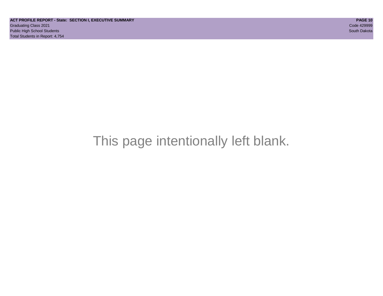### This page intentionally left blank.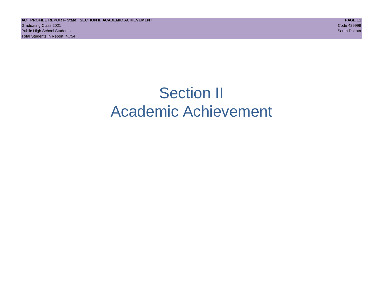# Section II Academic Achievement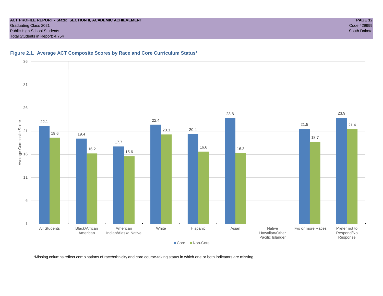

#### **Figure 2.1. Average ACT Composite Scores by Race and Core Curriculum Status\***

\*Missing columns reflect combinations of race/ethnicity and core course-taking status in which one or both indicators are missing.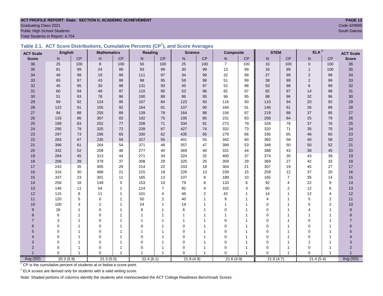#### **ACT PROFILE REPORT- State: SECTION II, ACADEMIC ACHIEVEMENT PAGE 13**

Graduating Class 2021 Code 429999

Public High School Students South Dakota (Control of the Control of the Control of the Control of the Control of the Control of the Control of the Control of the Control of the Control of the Control of the Control of the

Total Students in Report: 4,754

#### **Table 2.1. ACT Score Distributions, Cumulative Percents (CP<sup>1</sup> ), and Score Averages**

| <b>ACT Scale</b> | <b>English</b> |     | <b>Mathematics</b> |     | Reading      |                | <b>Science</b> |     | Composite      |              | <b>STEM</b> |                | ELA <sup>2</sup> |                         | <b>ACT Scale</b> |
|------------------|----------------|-----|--------------------|-----|--------------|----------------|----------------|-----|----------------|--------------|-------------|----------------|------------------|-------------------------|------------------|
| <b>Score</b>     | $\mathsf{N}$   | CP  | N                  | CP  | $\mathsf{N}$ | CP             | N              | CP  | N.             | CP           | N           | CP             | $\mathsf{N}$     | CP                      | <b>Score</b>     |
| 36               | 25             | 100 | 8                  | 100 | 50           | 100            | 25             | 100 | $\overline{7}$ | 100          | 10          | 100            | $\mathbf 0$      | 100                     | 36               |
| 35               | 81             | 99  | 24                 | 99  | 93           | 99             | 30             | 99  | 13             | 99           | 16          | 99             | $\mathbf{1}$     | 100                     | 35               |
| 34               | 49             | 98  | 19                 | 99  | 111          | 97             | 34             | 99  | 32             | 99           | 27          | 99             | 2                | 99                      | 34               |
| 33               | 65             | 97  | 43                 | 99  | 98           | 95             | 58             | 98  | 51             | 99           | 38          | 99             | 2                | 99                      | 33               |
| 32               | 45             | 95  | 30                 | 98  | 131          | 93             | 45             | 97  | 52             | 98           | 53          | 98             | 6                | 99                      | 32               |
| 31               | 60             | 94  | 49                 | 97  | 110          | 90             | 53             | 96  | 82             | 97           | 65          | 97             | 14               | 98                      | 31               |
| 30               | 51             | 93  | 78                 | 96  | 190          | 88             | 86             | 95  | 96             | 95           | 88          | 96             | 32               | 96                      | 30               |
| 29               | 69             | 92  | 124                | 95  | 107          | 84             | 123            | 93  | 116            | 93           | 110         | 94             | 20               | 92                      | 29               |
| 28               | 122            | 91  | 155                | 92  | 164          | 81             | 107            | 90  | 184            | 91           | 146         | 91             | 26               | 89                      | 28               |
| 27               | 94             | 88  | 255                | 89  | 139          | 78             | 164            | 88  | 156            | 87           | 219         | 88             | 37               | 85                      | 27               |
| 26               | 133            | 86  | 307                | 83  | 182          | 75             | 195            | 85  | 231            | 83           | 258         | 84             | 25               | 79                      | 26               |
| 25               | 199            | 83  | 252                | 77  | 208          | 71             | 334            | 81  | 272            | 79           | 328         | 78             | 37               | 76                      | 25               |
| 24               | 295            | 79  | 325                | 72  | 239          | 67             | 427            | 74  | 332            | 73           | 320         | 71             | 35               | 70                      | 24               |
| 23               | 297            | 73  | 295                | 65  | 330          | 62             | 435            | 65  | 279            | 66           | 336         | 65             | 46               | 65                      | 23               |
| 22               | 283            | 67  | 235                | 59  | 317          | 55             | 401            | 55  | 342            | 60           | 360         | 58             | 40               | 58                      | 22               |
| 21               | 396            | 61  | 264                | 54  | 371          | 48             | 357            | 47  | 399            | 53           | 348         | 50             | 50               | 52                      | 21               |
| 20               | 332            | 52  | 209                | 48  | 277          | 40             | 369            | 40  | 331            | 44           | 388         | 43             | 38               | 45                      | 20               |
| 19               | 284            | 45  | 313                | 44  | 271          | 34             | 324            | 32  | 400            | 37           | 374         | 35             | 43               | 39                      | 19               |
| 18               | 206            | 39  | 379                | 37  | 308          | 29             | 325            | 25  | 359            | 29           | 369         | 27             | 42               | 33                      | 18               |
| 17               | 243            | 35  | 405                | 29  | 214          | 22             | 243            | 18  | 304            | 21           | 307         | 19             | 45               | 27                      | 17               |
| 16               | 316            | 30  | 468                | 21  | 215          | 18             | 228            | 13  | 239            | 15           | 259         | 12             | 37               | 20                      | 16               |
| 15               | 337            | 23  | 301                | 11  | 165          | 13             | 107            | 8   | 189            | 10           | 165         | $\overline{7}$ | 35               | 14                      | 15               |
| 14               | 256            | 16  | 149                | 5   | 153          | 10             | 79             | 6   | 133            | 6            | 92          | 4              | 22               | 9                       | 14               |
| 13               | 146            | 11  | 54                 | 1   | 124          | $\overline{7}$ | 92             | 4   | 102            | 3            | 60          | $\overline{2}$ | 12               | 6                       | 13               |
| 12               | 115            | 8   | 11                 | 1   | 101          | 4              | 46             | 2   | 42             | $\mathbf{1}$ | 14          | $\mathbf 1$    | 12               | 4                       | 12               |
| 11               | 120            | 5   | 0                  | 1   | 50           | 2              | 40             | 1   | 9              | 1            | 4           | $\mathbf 1$    | 5                | 2                       | 11               |
| 10               | 100            | 3   | 2                  | 1   | 24           | $\mathbf{1}$   | 19             | 1   |                | -1           | 0           | 1              | 5                | $\overline{2}$          | 10               |
| 9                | 26             | 1   | 0                  | 1   | 8            | $\mathbf{1}$   | 6              | 1   | 0              | $\mathbf{1}$ | 0           | 1              | $\overline{4}$   | $\overline{1}$          | $9\,$            |
| 8                | 6              | 1   | $\mathbf 0$        | 1   | 1            | $\mathbf{1}$   | $\overline{1}$ | 1   | 1              | $\mathbf{1}$ | 0           | 1              | 1                | $\overline{1}$          | $\bf 8$          |
| $\overline{7}$   | 3              | 1   | $\mathbf 0$        | 1   | 1            | $\mathbf{1}$   | $\overline{1}$ | 1   | 0              | $\mathbf{1}$ | 0           | $\mathbf{1}$   | $\mathbf 0$      | $\overline{\mathbf{1}}$ | $\overline{7}$   |
| $6\phantom{1}6$  | 0              | 1   | 0                  | 1   | 0            | $\mathbf{1}$   | $\mathbf 0$    | 1   | 0              | $\mathbf{1}$ | 0           | $\mathbf{1}$   | $\mathbf 0$      | $\overline{1}$          | $\,6$            |
| 5                | 0              | 1   | 0                  | 1   | 1            | $\mathbf{1}$   | $\mathbf 0$    | 1   | 0              | $\mathbf{1}$ | 0           | 1              | $\mathbf 0$      | $\overline{1}$          | 5                |
| 4                | 0              | 1   | 0                  | 1   | 0            | $\mathbf{1}$   | $\mathbf 0$    | 1   | $\Omega$       | $\mathbf{1}$ | 0           | 1              | $\mathbf 0$      | $\overline{\mathbf{1}}$ | 4                |
| 3                | 0              | 1   | 0                  | 1   | 0            | $\mathbf{1}$   | 0              | 1   | 0              | $\mathbf{1}$ | 0           | $\mathbf 1$    | $\mathbf{1}$     | $\overline{1}$          | 3                |
| $\overline{2}$   | 0              | 1   | $\mathbf 0$        | 1   | $\pmb{0}$    | $\mathbf{1}$   | 0              | 1   | 0              | $\mathbf{1}$ | 0           | $\mathbf{1}$   | $\mathbf 0$      | $\overline{1}$          | $\overline{2}$   |
|                  | $\Omega$       | 1   | $\Omega$           | 1   | $\mathbf{1}$ | $\mathbf{1}$   | $\Omega$       | 1   | $\Omega$       |              | $\Omega$    | 1              | $\Omega$         | 1                       |                  |
| Avg (SD)         | 20.3(5.9)      |     | 21.3(5.0)          |     | 22.4(6.1)    |                | 21.9(4.9)      |     | 21.6(4.9)      |              | 21.8(4.7)   |                | 21.4(5.4)        |                         | Avg (SD)         |

CP is the cumulative percent of students at or below a score point.

ELA scores are derived only for students with a valid writing score.

Note: Shaded portions of columns identify the students who met/exceeded the ACT College Readiness Benchmark Scores.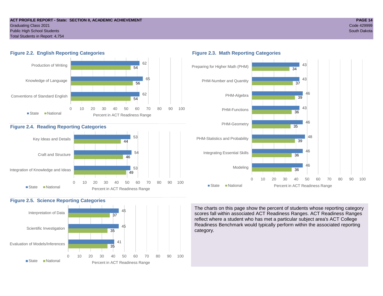#### **ACT PROFILE REPORT - State: SECTION II, ACADEMIC ACHIEVEMENT PAGE 14** Graduating Class 2021 Code 429999 Public High School Students South Dakota Communication of the Communication of the Communication of the Communication of the Communication of the Communication of the Communication of the Communication of the Communication Total Students in Report: 4,754



#### **Figure 2.4. Reading Reporting Categories**



#### **Figure 2.5. Science Reporting Categories**





The charts on this page show the percent of students whose reporting category scores fall within associated ACT Readiness Ranges. ACT Readiness Ranges reflect where a student who has met a particular subject area's ACT College Readiness Benchmark would typically perform within the associated reporting category.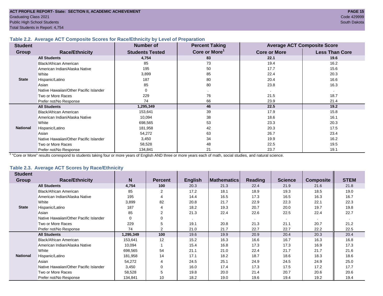#### **Table 2.2. Average ACT Composite Scores for Race/Ethnicity by Level of Preparation**

| <b>Student</b>  |                                                                                                                                                               | <b>Number of</b>       | <b>Percent Taking</b>     |                     | <b>Average ACT Composite Score</b> |
|-----------------|---------------------------------------------------------------------------------------------------------------------------------------------------------------|------------------------|---------------------------|---------------------|------------------------------------|
| Group           | <b>Race/Ethnicity</b>                                                                                                                                         | <b>Students Tested</b> | Core or More <sup>1</sup> | <b>Core or More</b> | <b>Less Than Core</b>              |
|                 | <b>All Students</b>                                                                                                                                           | 4,754                  | 83                        | 22.1                | 19.6                               |
|                 | Black/African American                                                                                                                                        | 85                     | 73                        | 19.4                | 16.2                               |
|                 | American Indian/Alaska Native                                                                                                                                 | 195                    | 50                        | 17.7                | 15.6                               |
|                 | White                                                                                                                                                         | 3,899                  | 85                        | 22.4                | 20.3                               |
| <b>State</b>    | Hispanic/Latino                                                                                                                                               | 187                    | 80                        | 20.4                | 16.6                               |
|                 | Asian                                                                                                                                                         | 85                     | 80                        | 23.8                | 16.3                               |
|                 | Native Hawaiian/Other Pacific Islander                                                                                                                        | 0                      |                           |                     |                                    |
|                 | Two or More Races                                                                                                                                             | 229                    | 76                        | 21.5                | 18.7                               |
|                 | Prefer not/No Response                                                                                                                                        | 74                     | 66                        | 23.9                | 21.4                               |
|                 | <b>All Students</b>                                                                                                                                           | 1,295,349              | 46                        | 22.5                | 19.2                               |
|                 | <b>Black/African American</b>                                                                                                                                 | 153,641                | 39                        | 17.9                | 15.8                               |
|                 | American Indian/Alaska Native                                                                                                                                 | 10,094                 | 38                        | 18.6                | 16.1                               |
|                 | White                                                                                                                                                         | 698,565                | 53                        | 23.3                | 20.3                               |
| <b>National</b> | Hispanic/Latino                                                                                                                                               | 181,958                | 42                        | 20.3                | 17.5                               |
|                 | Asian                                                                                                                                                         | 54,272                 | 63                        | 26.7                | 23.4                               |
|                 | Native Hawaiian/Other Pacific Islander                                                                                                                        | 3,450                  | 34                        | 19.9                | 16.2                               |
|                 | Two or More Races                                                                                                                                             | 58,528                 | 48                        | 22.5                | 19.5                               |
|                 | Prefer not/No Response                                                                                                                                        | 134,841                | 21                        | 23.7                | 19.1                               |
|                 | "Core or More" results correspond to students taking four or more years of English AND three or more years each of math, social studies, and natural science. |                        |                           |                     |                                    |

#### **Table 2.3. Average ACT Scores by Race/Ethnicity**

| <b>Student</b>  |                                        |           |                |                |                    |         |                |           |             |
|-----------------|----------------------------------------|-----------|----------------|----------------|--------------------|---------|----------------|-----------|-------------|
| <b>Group</b>    | <b>Race/Ethnicity</b>                  | N         | <b>Percent</b> | <b>English</b> | <b>Mathematics</b> | Reading | <b>Science</b> | Composite | <b>STEM</b> |
|                 | <b>All Students</b>                    | 4,754     | 100            | 20.3           | 21.3               | 22.4    | 21.9           | 21.6      | 21.8        |
|                 | Black/African American                 | 85        | 2              | 17.2           | 18.1               | 18.9    | 19.3           | 18.5      | 19.0        |
|                 | American Indian/Alaska Native          | 195       |                | 14.4           | 16.5               | 17.3    | 16.5           | 16.3      | 16.7        |
|                 | White                                  | 3,899     | 82             | 20.8           | 21.7               | 22.9    | 22.3           | 22.1      | 22.3        |
| <b>State</b>    | Hispanic/Latino                        | 187       |                | 18.2           | 19.3               | 20.7    | 20.0           | 19.7      | 19.8        |
|                 | Asian                                  | 85        | 2              | 21.3           | 22.4               | 22.6    | 22.5           | 22.4      | 22.7        |
|                 | Native Hawaiian/Other Pacific Islander | 0         |                |                |                    |         |                |           |             |
|                 | Two or More Races                      | 229       | 5              | 19.1           | 20.8               | 21.3    | 21.1           | 20.7      | 21.2        |
|                 | Prefer not/No Response                 | 74        | 2              | 21.0           | 21.7               | 22.7    | 22.7           | 22.2      | 22.5        |
|                 | <b>All Students</b>                    | 1,295,349 | 100            | 19.6           | 19.9               | 20.9    | 20.4           | 20.3      | 20.4        |
|                 | Black/African American                 | 153,641   | 12             | 15.2           | 16.3               | 16.6    | 16.7           | 16.3      | 16.8        |
|                 | American Indian/Alaska Native          | 10,094    |                | 15.4           | 16.8               | 17.3    | 17.3           | 16.9      | 17.3        |
|                 | White                                  | 698,565   | 54             | 21.1           | 21.0               | 22.4    | 21.7           | 21.7      | 21.6        |
| <b>National</b> | Hispanic/Latino                        | 181,958   | 14             | 17.1           | 18.2               | 18.7    | 18.6           | 18.3      | 18.6        |
|                 | Asian                                  | 54,272    | $\overline{4}$ | 24.5           | 25.1               | 24.9    | 24.5           | 24.9      | 25.0        |
|                 | Native Hawaiian/Other Pacific Islander | 3,450     | $\Omega$       | 16.0           | 17.4               | 17.3    | 17.5           | 17.2      | 17.7        |
|                 | Two or More Races                      | 58,528    |                | 19.8           | 20.0               | 21.4    | 20.7           | 20.6      | 20.6        |
|                 | Prefer not/No Response                 | 134,841   | 10             | 18.2           | 19.0               | 19.6    | 19.4           | 19.2      | 19.4        |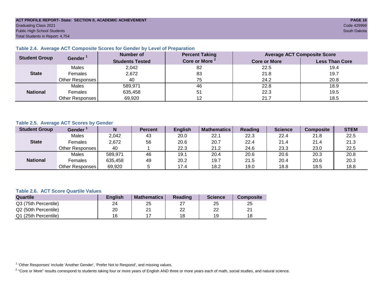#### **ACT PROFILE REPORT- State: SECTION II, ACADEMIC ACHIEVEMENT PAGE 16 Graduating Class 2021** Code 429999 Public High School Students South Dakota (Control of the Control of the Control of the Control of the Control of the Control of the Control of the Control of the Control of the Control of the Control of the Control of the

Total Students in Report: 4,754

#### **Table 2.4. Average ACT Composite Scores for Gender by Level of Preparation**

| <b>Student Group</b> |                   | <b>Number of</b>       | <b>Percent Taking</b>     | <b>Average ACT Composite Score</b> |                       |  |  |  |
|----------------------|-------------------|------------------------|---------------------------|------------------------------------|-----------------------|--|--|--|
|                      | Gender $^1$       | <b>Students Tested</b> | Core or More <sup>2</sup> | <b>Core or More</b>                | <b>Less Than Core</b> |  |  |  |
|                      | Males             | 2,042                  | 82                        | 22.5                               | 19.4                  |  |  |  |
| <b>State</b>         | <b>Females</b>    | 2,672                  | 83                        | 21.8                               | 19.7                  |  |  |  |
|                      | Other Responses   | 40                     | 75                        | 24.2                               | 20.8                  |  |  |  |
|                      | Males             | 589,971                | 46                        | 22.8                               | 18.9                  |  |  |  |
| <b>National</b>      | <b>Females</b>    | 635,458                | 51                        | 22.3                               | 19.5                  |  |  |  |
|                      | Other Responses I | 69,920                 |                           | 21.7                               | 18.5                  |  |  |  |

#### **Table 2.5. Average ACT Scores by Gender**

| <b>Student Group</b> | <b>Gender</b>   |         | <b>Percent</b> | <b>English</b> | <b>Mathematics</b> | <b>Reading</b> | <b>Science</b> | <b>Composite</b> | <b>STEM</b> |
|----------------------|-----------------|---------|----------------|----------------|--------------------|----------------|----------------|------------------|-------------|
|                      | Males           | 2,042   | 43             | 20.0           | 22.1               | 22.3           | 22.4           | 21.8             | 22.5        |
| <b>State</b>         | Females         | 2,672   | 56             | 20.6           | 20.7               | 22.4           | 21.4           | 21.4             | 21.3        |
|                      | Other Responses | 40      |                | 22.3           | 21.2               | 24.6           | 23.3           | 23.0             | 22.5        |
| <b>National</b>      | Males           | 589,971 | 46             | 19.1           | 20.4               | 20.6           | 20.6           | 20.3             | 20.8        |
|                      | Females         | 635,458 | 49             | 20.2           | 19.7               | 21.5           | 20.4           | 20.6             | 20.3        |
|                      | Other Responses | 69,920  |                | 17.4           | 18.2               | 19.0           | 18.8           | 18.5             | 18.8        |

#### **Table 2.6. ACT Score Quartile Values**

| Quartile             | <b>English</b> | <b>Mathematics</b> | <b>Reading</b> | <b>Science</b> | <b>Composite</b> |
|----------------------|----------------|--------------------|----------------|----------------|------------------|
| Q3 (75th Percentile) | 24             | 25                 |                | 25             | 25               |
| Q2 (50th Percentile) | 20             | 21                 | 22             | 22             | 21               |
| Q1 (25th Percentile) | 16             | 17                 | 18             | 19             | 18               |

<sup>1</sup> 'Other Responses' include 'Another Gender', 'Prefer Not to Respond', and missing values.

<sup>2</sup> "Core or More" results correspond to students taking four or more years of English AND three or more years each of math, social studies, and natural science.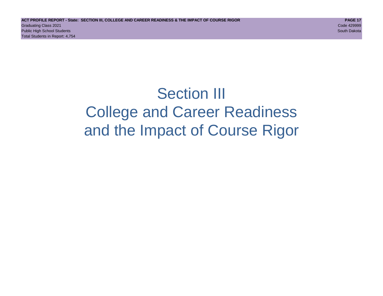## Section III College and Career Readiness and the Impact of Course Rigor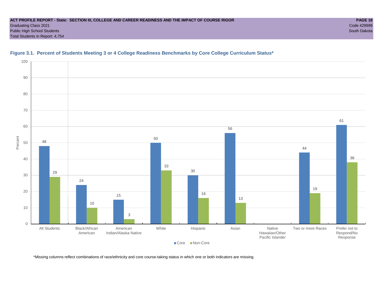

#### **Figure 3.1. Percent of Students Meeting 3 or 4 College Readiness Benchmarks by Core College Curriculum Status\***

\*Missing columns reflect combinations of race/ethnicity and core course-taking status in which one or both indicators are missing.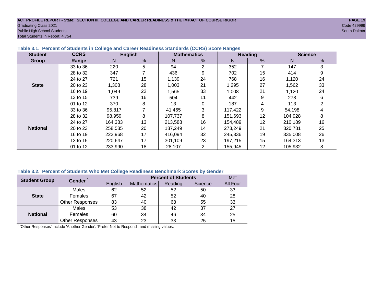Graduating Class 2021 Code 429999

Public High School Students South Dakota

Total Students in Report: 4,754

| <b>Student</b>  | <b>CCRS</b> |         | <b>English</b> | <b>Mathematics</b> |    | <b>Reading</b> |    | <b>Science</b> |    |
|-----------------|-------------|---------|----------------|--------------------|----|----------------|----|----------------|----|
| <b>Group</b>    | Range       | N       | %              | N                  | %  | N              | %  | N              | %  |
|                 | 33 to 36    | 220     | 5              | 94                 | 2  | 352            |    | 147            |    |
|                 | 28 to 32    | 347     |                | 436                | 9  | 702            | 15 | 414            |    |
|                 | 24 to 27    | 721     | 15             | 1,139              | 24 | 768            | 16 | 1,120          | 24 |
| <b>State</b>    | 20 to 23    | 1,308   | 28             | 1,003              | 21 | 1,295          | 27 | 1,562          | 33 |
|                 | 16 to 19    | 1,049   | 22             | 1,565              | 33 | 1,008          | 21 | 1,120          | 24 |
|                 | 13 to 15    | 739     | 16             | 504                | 11 | 442            | 9  | 278            | 6  |
|                 | 01 to 12    | 370     | 8              | 13                 | 0  | 187            | 4  | 113            |    |
|                 | 33 to 36    | 95,817  |                | 41,465             | 3  | 117,422        | 9  | 54,198         |    |
|                 | 28 to 32    | 98,959  | 8              | 107,737            | 8  | 151,693        | 12 | 104,928        | 8  |
|                 | 24 to 27    | 164,383 | 13             | 213,588            | 16 | 154,489        | 12 | 210.189        | 16 |
| <b>National</b> | 20 to 23    | 258,585 | 20             | 187,249            | 14 | 273,249        | 21 | 320,781        | 25 |
|                 | 16 to 19    | 222,968 | 17             | 416,094            | 32 | 245,336        | 19 | 335,008        | 26 |
|                 | 13 to 15    | 220,647 | 17             | 301,109            | 23 | 197,215        | 15 | 164,313        | 13 |
|                 | 01 to 12    | 233,990 | 18             | 28,107             | 2  | 155,945        | 12 | 105,932        | 8  |

#### **Table 3.1. Percent of Students in College and Career Readiness Standards (CCRS) Score Ranges**

#### **Table 3.2. Percent of Students Who Met College Readiness Benchmark Scores by Gender**

| <b>Student Group</b> | Gender <sup>1</sup> |         | Met                |         |         |                 |
|----------------------|---------------------|---------|--------------------|---------|---------|-----------------|
|                      |                     | English | <b>Mathematics</b> | Reading | Science | <b>All Four</b> |
|                      | Males               | 62      | 52                 | 52      | 50      | 33              |
| <b>State</b>         | Females             | 67      | 42                 | 52      | 40      | 28              |
|                      | Other Responses     | 83      | 40                 | 68      | 55      | 33              |
|                      | Males               | 53      | 38                 | 42      | 37      | 27              |
| <b>National</b>      | Females             | 60      | 34                 | 46      | 34      | 25              |
|                      | Other Responses     | 43      | 23                 | 33      | 25      | 15              |

<sup>1</sup> 'Other Responses' include 'Another Gender', 'Prefer Not to Respond', and missing values.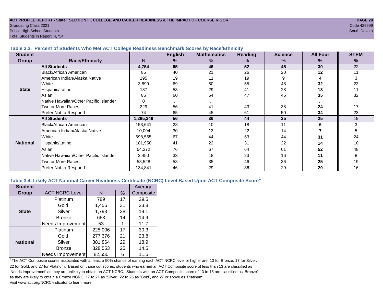Graduating Class 2021 Code 429999

Public High School Students South Dakota (Control of the Control of the Control of the Control of the Control of the Control of the Control of the Control of the Control of the Control of the Control of the Control of the

Total Students in Report: 4,754

**Table 3.3. Percent of Students Who Met ACT College Readiness Benchmark Scores by Race/Ethnicity**

| <b>Student</b>  |                                        |           | <b>English</b> | <b>Mathematics</b> | Reading | <b>Science</b> | <b>All Four</b> | <b>STEM</b> |
|-----------------|----------------------------------------|-----------|----------------|--------------------|---------|----------------|-----------------|-------------|
| <b>Group</b>    | <b>Race/Ethnicity</b>                  | N         | %              | %                  | %       | %              | %               | %           |
|                 | <b>All Students</b>                    | 4,754     | 65             | 46                 | 52      | 45             | 30              | 22          |
|                 | Black/African American                 | 85        | 40             | 21                 | 26      | 20             | $12 \,$         | 11          |
|                 | American Indian/Alaska Native          | 195       | 19             | 11                 | 19      | 9              |                 | 3           |
|                 | White                                  | 3,899     | 69             | 50                 | 55      | 48             | 32              | 23          |
| <b>State</b>    | Hispanic/Latino                        | 187       | 53             | 29                 | 41      | 28             | 18              | 11          |
|                 | Asian                                  | 85        | 60             | 54                 | 47      | 46             | 35              | 32          |
|                 | Native Hawaiian/Other Pacific Islander | 0         |                |                    |         |                |                 |             |
|                 | Two or More Races                      | 229       | 56             | 41                 | 43      | 38             | 24              | 17          |
|                 | Prefer Not to Respond                  | 74        | 65             | 45                 | 61      | 50             | 34              | 23          |
|                 | <b>All Students</b>                    | 1,295,349 | 56             | 36                 | 44      | 35             | 25              | 19          |
|                 | Black/African American                 | 153,641   | 28             | 10                 | 18      | 11             |                 | 3           |
|                 | American Indian/Alaska Native          | 10,094    | 30             | 13                 | 22      | 14             |                 | b.          |
|                 | White                                  | 698,565   | 67             | 44                 | 53      | 44             | 31              | 24          |
| <b>National</b> | Hispanic/Latino                        | 181,958   | 41             | 22                 | 31      | 22             | 14              | 10          |
|                 | Asian                                  | 54,272    | 76             | 67                 | 64      | 61             | 52              | 48          |
|                 | Native Hawaiian/Other Pacific Islander | 3,450     | 33             | 18                 | 23      | 16             | 11              | 8           |
|                 | Two or More Races                      | 58,528    | 58             | 35                 | 46      | 36             | 25              | 19          |
|                 | Prefer Not to Respond                  | 134,841   | 46             | 29                 | 36      | 29             | 20              | 16          |

#### **Table 3.4. Likely ACT National Career Readiness Certificate (NCRC) Level Based Upon ACT Composite Score<sup>1</sup>**

| <b>Student</b>  |                       |         |      | Average   |
|-----------------|-----------------------|---------|------|-----------|
| Group           | <b>ACT NCRC Level</b> | N       | $\%$ | Composite |
|                 | Platinum              | 789     | 17   | 29.5      |
|                 | Gold                  | 1,456   | 31   | 23.8      |
| <b>State</b>    | Silver                | 1,793   | 38   | 19.1      |
|                 | <b>Bronze</b>         | 663     | 14   | 14.9      |
|                 | Needs Improvement     | 53      |      | 11.7      |
|                 | Platinum              | 225,006 | 17   | 30.3      |
|                 | Gold                  | 277,376 | 21   | 23.8      |
| <b>National</b> | Silver                | 381,864 | 29   | 18.9      |
|                 | <b>Bronze</b>         | 328,553 | 25   | 14.5      |
|                 | Needs Improvement     | 82,550  | 6    | 11.5      |

<sup>1</sup>The ACT Composite scores associated with at least a 50% chance of earning each ACT NCRC level or higher are: 13 for Bronze, 17 for Silver, 22 for Gold, and 27 for Platinum. Based on those cut scores, students who earned an ACT Composite score of less than 13 are classified as 'Needs improvement' as they are unlikely to obtain an ACT NCRC. Students with an ACT Composite score of 13 to 16 are classified as 'Bronze' as they are likely to obtain a Bronze NCRC, 17 to 21 as 'Silver', 22 to 26 as 'Gold', and 27 or above as 'Platinum'. Visit www.act.org/NCRC-indicator to learn more.

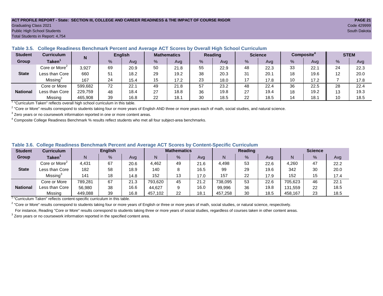#### Graduating Class 2021 Code 429999

Public High School Students South Dakota (Control of the Control of the Control of the Control of the Control of the Control of the Control of the Control of the Control of the Control of the Control of the Control of the

Total Students in Report: 4,754

| <b>Student</b>  | <b>Curriculum</b>         | N       | <b>English</b> |      | <b>Mathematics</b> |      | Reading |      | <b>Science</b> |      | <b>Composite<sup>4</sup></b> |      | <b>STEM</b> |      |
|-----------------|---------------------------|---------|----------------|------|--------------------|------|---------|------|----------------|------|------------------------------|------|-------------|------|
| Group           | <b>Taken</b>              |         | %              | Avg  | $\%$               | Avg  | %       | Avg  | %              | Avg  | %                            | Ava  | %           | Avg  |
|                 | Core or More <sup>4</sup> | 3,927   | 69             | 20.9 | 50                 | 21.8 | 55      | 22.9 | 48             | 22.3 | 33                           | 22.1 | 24          | 22.3 |
| <b>State</b>    | Less than Core            | 660     | 51             | 18.2 | 29                 | 19.2 | 38      | 20.3 | 31             | 20.7 | 18                           | 19.6 | 10          | 20.0 |
|                 | Missing                   | 167     | 24             | 15.4 | 15                 | 17.2 | 23      | 18.0 |                | 17.8 | 10                           | 17.2 |             | 17.8 |
|                 | Core or More              | 599,682 | 72             | 22.1 | 49                 | 21.8 | 57      | 23.2 | 48             | 22.4 | 36                           | 22.5 | 28          | 22.4 |
| <b>National</b> | Less than Core            | 229,759 | 48             | 18.4 | ົ                  | 18.8 | 36      | 19.8 | 27             | 19.4 | 18                           | 19.2 | 10<br>ت ا   | 19.3 |
|                 | Missing                   | 465,908 | 39             | 16.8 | າາ<br>ے            | 18.7 | 30      | 18.5 | 22             | 18.5 | 14                           | 18.1 |             | 18.5 |

#### **Table 3.5. College Readiness Benchmark Percent and Average ACT Scores by Overall High School Curriculum**

 $1$  "Curriculum Taken" reflects overall high school curriculum in this table.

<sup>2</sup> "Core or More" results correspond to students taking four or more years of English AND three or more years each of math, social studies, and natural science.

 $3$  Zero years or no coursework information reported in one or more content areas.

<sup>4</sup> Composite College Readiness Benchmark % results reflect students who met all four subject-area benchmarks.

#### **Table 3.6. College Readiness Benchmark Percent and Average ACT Scores by Content-Specific Curriculum**

| <b>Student</b>  | <b>Curriculum</b>         | <b>English</b> |    |      | <b>Mathematics</b> |               |      | <b>Reading</b> |    |      | <b>Science</b> |    |      |
|-----------------|---------------------------|----------------|----|------|--------------------|---------------|------|----------------|----|------|----------------|----|------|
| <b>Group</b>    | <b>Taken</b>              | N              | %  | Avg  |                    | $\frac{0}{0}$ | Avg  |                | %  | Avg  | N              | %  | Avg  |
|                 | Core or More <sup>2</sup> | 4.431          | 67 | 20.6 | 4.462              | 49            | 21.6 | 4.498          | 53 | 22.6 | 4,260          | 47 | 22.2 |
| <b>State</b>    | Less than Core            | 182            | 58 | 18.9 | 140                |               | 16.5 | 99             | 29 | 19.6 | 342            | 30 | 20.0 |
|                 | Missing                   | 141            | 18 | 14.8 | 152                | 13            | 17.0 | 157            | 22 | 17.9 | 152            | 15 | 17.4 |
|                 | Core or More              | 789.281        | 67 | 21.3 | 793.620            | 45            | 21.2 | 738.095        | 53 | 22.6 | 705.623        | 46 | 22.1 |
| <b>National</b> | Less than Core            | 56.980         | 38 | 16.6 | 44,627             |               | 16.0 | 99.996         | 36 | 19.8 | 131.559        | 22 | 18.5 |
|                 | Missing                   | 449,088        | 39 | 16.8 | 457,102            | 22            | 18.1 | 457,258        | 30 | 18.5 | 458,167        | 23 | 18.5 |

<sup>1</sup> "Curriculum Taken" reflects content-specific curriculum in this table.

<sup>2</sup> "Core or More" results correspond to students taking four or more years of English or three or more years of math, social studies, or natural science, respectively.

For instance, Reading "Core or More" results correspond to students taking three or more years of social studies, regardless of courses taken in other content areas.

 $3$  Zero years or no coursework information reported in the specified content area.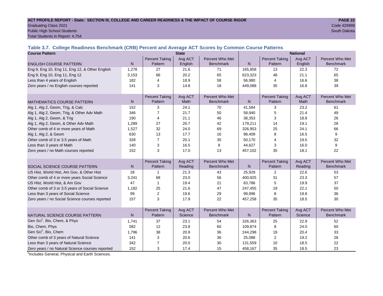Graduating Class 2021 Code 429999 Public High School Students South Dakota

Total Students in Report: 4,754

#### **Table 3.7. College Readiness Benchmark (CRB) Percent and Average ACT Scores by Common Course Patterns**

| <b>Course Pattern</b>                            |       |                                  | <b>State</b>       |                                     |              |                                  | <b>National</b> |                                     |
|--------------------------------------------------|-------|----------------------------------|--------------------|-------------------------------------|--------------|----------------------------------|-----------------|-------------------------------------|
|                                                  |       | <b>Percent Taking</b>            | Avg ACT            | Percent Who Met                     |              | <b>Percent Taking</b>            | Avg ACT         | Percent Who Met                     |
| <b>ENGLISH COURSE PATTERN</b>                    | N     | Pattern                          | English            | <b>Benchmark</b>                    | $\mathsf{N}$ | Pattern                          | English         | <b>Benchmark</b>                    |
| Eng 9, Eng 10, Eng 11, Eng 12, & Other English   | 1,278 | 27                               | 21.6               | 71                                  | 165,958      | 13                               | 22.3            | 72                                  |
| Eng 9, Eng 10, Eng 11, Eng 12                    | 3,153 | 66                               | 20.2               | 65                                  | 623,323      | 48                               | 21.1            | 65                                  |
| Less than 4 years of English                     | 182   | $\overline{4}$                   | 18.9               | 58                                  | 56,980       | 4                                | 16.6            | 38                                  |
| Zero years / no English courses reported         | 141   | 3                                | 14.8               | 18                                  | 449,088      | 35                               | 16.8            | 39                                  |
|                                                  |       |                                  |                    |                                     |              |                                  |                 |                                     |
|                                                  |       | <b>Percent Taking</b>            | Avg ACT            | Percent Who Met                     |              | <b>Percent Taking</b>            | Avg ACT         | Percent Who Met                     |
| <b>MATHEMATICS COURSE PATTERN</b>                | N     | Pattern                          | Math               | <b>Benchmark</b>                    | N            | Pattern                          | Math            | <b>Benchmark</b>                    |
| Alg 1, Alg 2, Geom, Trig, & Calc                 | 152   | 3                                | 24.1               | 70                                  | 41,584       | 3                                | 23.2            | 61                                  |
| Alg 1, Alg 2, Geom, Trig, & Other Adv Math       | 346   | $\overline{7}$                   | 21.7               | 50                                  | 58,940       | 5                                | 21.4            | 49                                  |
| Alg 1, Alg 2, Geom, & Trig                       | 190   | 4                                | 21.1               | 46                                  | 38,353       | 3                                | 18.8            | 26                                  |
| Alg 1, Alg 2, Geom, & Other Adv Math             | 1,289 | 27                               | 20.7               | 42                                  | 179,211      | 14                               | 19.1            | 28                                  |
| Other comb of 4 or more years of Math            | 1,527 | 32                               | 24.0               | 69                                  | 326,953      | 25                               | 24.1            | 66                                  |
| Alg 1, Alg 2, & Geom                             | 630   | 13                               | 17.7               | 16                                  | 98,409       | 8                                | 16.5            | 9                                   |
| Other comb of 3 or 3.5 years of Math             | 328   | $\overline{7}$                   | 20.1               | 35                                  | 50,170       | 4                                | 19.5            | 32                                  |
| Less than 3 years of Math                        | 140   | 3                                | 16.5               | 8                                   | 44,627       | 3                                | 16.0            | 9                                   |
| Zero years / no Math courses reported            | 152   | 3                                | 17.0               | 13                                  | 457,102      | 35                               | 18.1            | 22                                  |
|                                                  |       |                                  |                    |                                     |              |                                  |                 |                                     |
|                                                  |       | <b>Percent Taking</b>            | Avg ACT            | Percent Who Met                     |              | <b>Percent Taking</b>            | Avg ACT         | Percent Who Met                     |
| SOCIAL SCIENCE COURSE PATTERN                    | N     | Pattern                          | Reading            | <b>Benchmark</b>                    | N            | Pattern                          | Reading         | <b>Benchmark</b>                    |
| US Hist, World Hist, Am Gov, & Other Hist        | 28    | $\mathbf 1$                      | 21.3               | 43                                  | 25,929       | $\overline{2}$                   | 22.6            | 53                                  |
| Other comb of 4 or more years Social Science     | 3,241 | 68                               | 23.0               | 56                                  | 400,925      | 31                               | 23.3            | 57                                  |
| US Hist, World Hist, & Am Gov                    | 47    | $\mathbf{1}$                     | 19.4               | 21                                  | 63,786       | 5                                | 19.9            | 37                                  |
| Other comb of 3 or 3.5 years of Social Science   | 1,182 | 25                               | 21.6               | 47                                  | 247,455      | 19                               | 22.1            | 50                                  |
| Less than 3 years of Social Science              | 99    | $\overline{c}$                   | 19.6               | 29                                  | 99,996       | 8                                | 19.8            | 36                                  |
| Zero years / no Social Science courses reported  | 157   | 3                                | 17.9               | 22                                  | 457,258      | 35                               | 18.5            | 30                                  |
|                                                  |       |                                  |                    |                                     |              |                                  |                 |                                     |
|                                                  |       | <b>Percent Taking</b><br>Pattern | Avg ACT<br>Science | Percent Who Met<br><b>Benchmark</b> |              | <b>Percent Taking</b><br>Pattern | Avg ACT         | Percent Who Met<br><b>Benchmark</b> |
| NATURAL SCIENCE COURSE PATTERN                   | N     |                                  |                    |                                     | N            |                                  | Science         |                                     |
| Gen Sci <sup>1</sup> , Bio, Chem, & Phys         | 1,741 | 37                               | 23.1               | 54                                  | 326,363      | 25                               | 22.9            | 52                                  |
| Bio, Chem, Phys                                  | 582   | 12                               | 23.8               | 60                                  | 109,874      | 8                                | 24.0            | 60                                  |
| Gen Sci <sup>1</sup> , Bio, Chem                 | 1,796 | 38                               | 20.9               | 36                                  | 244,298      | 19                               | 20.4            | 33                                  |
| Other comb of 3 years of Natural Science         | 141   | 3                                | 20.6               | 36                                  | 25,088       | 2                                | 19.2            | 26                                  |
| Less than 3 years of Natural Science             | 342   | $\overline{7}$                   | 20.0               | 30                                  | 131,559      | 10                               | 18.5            | 22                                  |
| Zero years / no Natural Science courses reported | 152   | 3                                | 17.4               | 15                                  | 458,167      | 35                               | 18.5            | 23                                  |

<sup>1</sup>Includes General, Physical and Earth Sciences.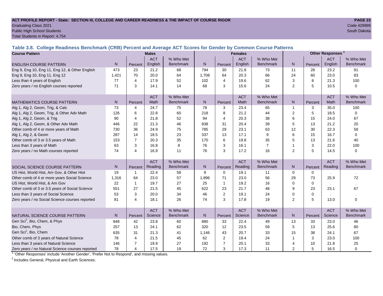#### **ACT PROFILE REPORT - State: SECTION III, COLLEGE AND CAREER READINESS & THE IMPACT OF COURSE RIGOR PAGE 23** Graduating Class 2021 Code 429999

Public High School Students South Dakota

Total Students in Report: 4,754

#### **Table 3.8. College Readiness Benchmark (CRB) Percent and Average ACT Scores for Gender by Common Course Patterns**

| <b>Course Pattern</b>                            |                |                         | <b>Males</b> |                  |              |                | <b>Females</b> |                  |                | Other Responses <sup>1</sup> |            |                  |
|--------------------------------------------------|----------------|-------------------------|--------------|------------------|--------------|----------------|----------------|------------------|----------------|------------------------------|------------|------------------|
|                                                  |                |                         | <b>ACT</b>   | % Who Met        |              |                | <b>ACT</b>     | % Who Met        |                |                              | <b>ACT</b> | % Who Met        |
| <b>ENGLISH COURSE PATTERN</b>                    | N              | Percent                 | English      | <b>Benchmark</b> | N            | Percent        | English        | Benchmark        | ${\sf N}$      | Percent                      | English    | <b>Benchmark</b> |
| Eng 9, Eng 10, Eng 11, Eng 12, & Other English   | 473            | 23                      | 21.2         | 68               | 794          | 30             | 21.8           | 73               | 11             | 28                           | 23.2       | 91               |
| Eng 9, Eng 10, Eng 11, Eng 12                    | 1,421          | 70                      | 20.0         | 64               | 1,708        | 64             | 20.3           | 66               | 24             | 60                           | 23.0       | 83               |
| Less than 4 years of English                     | 77             | $\overline{4}$          | 17.9         | 52               | 102          | $\overline{4}$ | 19.6           | 62               | 3              | 8                            | 21.3       | 100              |
| Zero years / no English courses reported         | 71             | 3                       | 14.1         | 14               | 68           | 3              | 15.6           | 24               | 2              | 5                            | 10.5       | $\mathbf 0$      |
|                                                  |                |                         | <b>ACT</b>   | % Who Met        |              |                | <b>ACT</b>     | % Who Met        |                |                              | <b>ACT</b> | % Who Met        |
| <b>MATHEMATICS COURSE PATTERN</b>                | N              | Percent                 | Math         | <b>Benchmark</b> | N            | Percent        | Math           | <b>Benchmark</b> | N              | Percent                      | Math       | <b>Benchmark</b> |
| Alg 1, Alg 2, Geom, Trig, & Calc                 | 73             | 4                       | 24.7         | 75               | 78           | 3              | 23.4           | 65               | -1             | 3                            | 35.0       | 100              |
| Alg 1, Alg 2, Geom, Trig, & Other Adv Math       | 126            | 6                       | 22.8         | 60               | 218          | 8              | 21.2           | 44               | $\overline{2}$ | 5                            | 18.5       | $\mathbf 0$      |
| Alg 1, Alg 2, Geom, & Trig                       | 90             | 4                       | 21.8         | 52               | 94           | 4              | 20.3           | 38               | 6              | 15                           | 24.0       | 67               |
| Alg 1, Alg 2, Geom, & Other Adv Math             | 446            | 22                      | 21.3         | 46               | 838          | 31             | 20.4           | 39               | 5              | 13                           | 21.2       | 20               |
| Other comb of 4 or more years of Math            | 730            | 36                      | 24.9         | 75               | 785          | 29             | 23.1           | 63               | 12             | 30                           | 22.3       | 58               |
| Alg 1, Alg 2, & Geom                             | 287            | 14                      | 18.5         | 23               | 337          | 13             | 17.1           | 9                | 6              | 15                           | 16.7       | $\mathbf 0$      |
| Other comb of 3 or 3.5 years of Math             | 153            | $\overline{7}$          | 20.3         | 35               | 170          | 6              | 19.8           | 35               | 5              | 13                           | 21.6       | 40               |
| Less than 3 years of Math                        | 63             | 3                       | 16.8         | 8                | 76           | 3              | 16.1           | $\overline{7}$   |                | 3                            | 22.0       | 100              |
| Zero years / no Math courses reported            | 74             | $\boldsymbol{\Delta}$   | 16.9         | 11               | 76           | 3              | 17.2           | 16               | $\mathbf{2}$   | 5                            | 14.5       | $\mathbf 0$      |
|                                                  |                |                         | <b>ACT</b>   | % Who Met        |              |                | <b>ACT</b>     | % Who Met        |                |                              | <b>ACT</b> | % Who Met        |
| SOCIAL SCIENCE COURSE PATTERN                    | N              | Percent                 | Reading      | <b>Benchmark</b> | $\mathsf{N}$ | Percent        | Reading        | <b>Benchmark</b> | N              | Percent                      | Reading    | Benchmark        |
| US Hist, World Hist, Am Gov, & Other Hist        | 19             | -1                      | 22.4         | 58               | 9            | $\Omega$       | 19.1           | 11               | $\mathbf 0$    | $\mathbf 0$                  |            |                  |
| Other comb of 4 or more years Social Science     | 1,316          | 64                      | 23.0         | 57               | 1,896        | 71             | 23.0           | 56               | 29             | 73                           | 25.9       | 72               |
| US Hist, World Hist, & Am Gov                    | 22             | $\overline{\mathbf{1}}$ | 19.7         | 27               | 25           | $\mathbf{1}$   | 19.2           | 16               | 0              | 0                            |            |                  |
| Other comb of 3 or 3.5 years of Social Science   | 551            | 27                      | 21.5         | 45               | 622          | 23             | 21.7           | 48               | 9              | 23                           | 23.1       | 67               |
| Less than 3 years of Social Science              | 53             | 3                       | 20.0         | 34               | 46           | $\overline{2}$ | 19.1           | 24               | 0              | $\mathbf 0$                  |            |                  |
| Zero years / no Social Science courses reported  | 81             | $\boldsymbol{\Delta}$   | 18.1         | 26               | 74           | 3              | 17.8           | 19               | 2              | 5                            | 13.0       | $\Omega$         |
|                                                  |                |                         | <b>ACT</b>   | % Who Met        |              |                | <b>ACT</b>     | % Who Met        |                |                              | <b>ACT</b> | % Who Met        |
| NATURAL SCIENCE COURSE PATTERN                   | N <sub>1</sub> | Percent                 | Science      | <b>Benchmark</b> | N.           | Percent        | Science        | <b>Benchmark</b> | N              | Percent                      | Science    | <b>Benchmark</b> |
| Gen Sci <sup>2</sup> , Bio, Chem, & Phys         | 848            | 42                      | 23.8         | 60               | 880          | 33             | 22.4           | 49               | 13             | 33                           | 23.0       | 46               |
| Bio, Chem, Phys                                  | 257            | 13                      | 24.1         | 62               | 320          | 12             | 23.5           | 59               | 5              | 13                           | 25.6       | 80               |
| Gen Sci <sup>1</sup> , Bio, Chem                 | 635            | 31                      | 21.3         | 41               | 1,146        | 43             | 20.7           | 33               | 15             | 38                           | 24.1       | 67               |
| Other comb of 3 years of Natural Science         | 78             | $\overline{4}$          | 21.5         | 45               | 62           | $\overline{2}$ | 19.4           | 24               |                | 3                            | 23.0       | 100              |
| Less than 3 years of Natural Science             | 146            | $\overline{7}$          | 19.9         | 27               | 192          | $\overline{7}$ | 20.1           | 33               | 4              | 10                           | 21.8       | 25               |
| Zero years / no Natural Science courses reported | 78             | 4                       | 17.5         | 19               | 72           | 3              | 17.3           | 11               | 2              | 5                            | 16.5       | $\mathbf 0$      |

<sup>1</sup> 'Other Responses' include 'Another Gender', 'Prefer Not to Respond', and missing values.

 $2$  Includes General, Physical and Earth Sciences.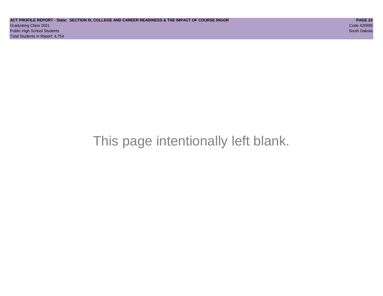### This page intentionally left blank.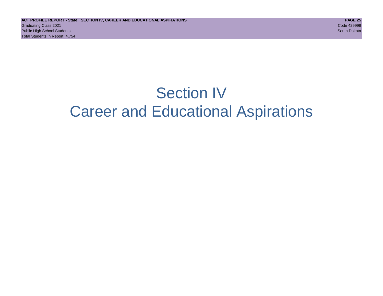# Section IV Career and Educational Aspirations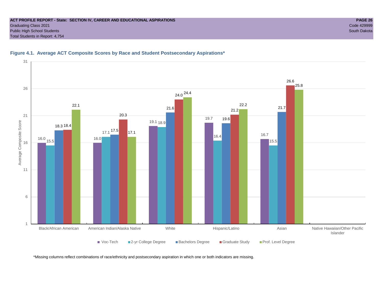

#### **Figure 4.1. Average ACT Composite Scores by Race and Student Postsecondary Aspirations\***

\*Missing columns reflect combinations of race/ethnicity and postsecondary aspiration in which one or both indicators are missing.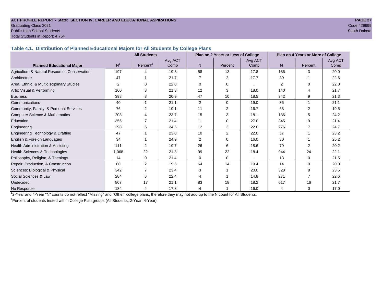#### **ACT PROFILE REPORT - State: SECTION IV, CAREER AND EDUCATIONAL ASPIRATIONS PAGE 27**

Graduating Class 2021 Code 429999

Public High School Students South Dakota

Total Students in Report: 4,754

|  |  | Table 4.1.  Distribution of Planned Educational Majors for All Students by College Plans |  |  |  |  |  |  |  |
|--|--|------------------------------------------------------------------------------------------|--|--|--|--|--|--|--|
|--|--|------------------------------------------------------------------------------------------|--|--|--|--|--|--|--|

|                                              | <b>All Students</b> |                      |                 |          | Plan on 2 Years or Less of College |                 | Plan on 4 Years or More of College |                |                 |  |
|----------------------------------------------|---------------------|----------------------|-----------------|----------|------------------------------------|-----------------|------------------------------------|----------------|-----------------|--|
| <b>Planned Educational Major</b>             | N <sup>1</sup>      | Percent <sup>2</sup> | Avg ACT<br>Comp | N.       | Percent                            | Avg ACT<br>Comp | N                                  | Percent        | Avg ACT<br>Comp |  |
| Agriculture & Natural Resources Conservation | 197                 |                      | 19.3            | 58       | 13                                 | 17.8            | 136                                | З              | 20.0            |  |
| Architecture                                 | 47                  |                      | 21.7            |          | 2                                  | 17.7            | 39                                 |                | 22.6            |  |
| Area, Ethnic, & Multidisciplinary Studies    | 2                   | $\Omega$             | 22.0            | $\Omega$ | $\Omega$                           |                 | 2                                  | $\Omega$       | 22.0            |  |
| Arts: Visual & Performing                    | 160                 | 3                    | 21.3            | 12       | 3                                  | 18.0            | 140                                |                | 21.7            |  |
| <b>Business</b>                              | 398                 | 8                    | 20.9            | 47       | 10                                 | 18.5            | 342                                | 9              | 21.3            |  |
| Communications                               | 40                  |                      | 21.1            | 2        | $\Omega$                           | 19.0            | 36                                 | $\overline{1}$ | 21.1            |  |
| Community, Family, & Personal Services       | 76                  | 2                    | 19.1            | 11       | 2                                  | 16.7            | 63                                 | $\overline{2}$ | 19.5            |  |
| <b>Computer Science &amp; Mathematics</b>    | 208                 |                      | 23.7            | 15       | 3                                  | 18.1            | 186                                |                | 24.2            |  |
| Education                                    | 355                 |                      | 21.4            |          | $\Omega$                           | 27.0            | 345                                | 9              | 21.4            |  |
| Engineering                                  | 298                 | 6                    | 24.5            | 12       | 3                                  | 22.0            | 276                                | 7              | 24.7            |  |
| Engineering Technology & Drafting            | 47                  |                      | 23.0            | 10       | $\overline{2}$                     | 22.0            | 37                                 | $\overline{1}$ | 23.2            |  |
| English & Foreign Languages                  | 34                  |                      | 24.9            | 2        | $\Omega$                           | 16.0            | 30                                 |                | 25.2            |  |
| Health Administration & Assisting            | 111                 | 2                    | 19.7            | 26       | 6                                  | 18.6            | 79                                 | $\overline{2}$ | 20.2            |  |
| Health Sciences & Technologies               | 1,068               | 22                   | 21.8            | 99       | 22                                 | 18.4            | 944                                | 24             | 22.1            |  |
| Philosophy, Religion, & Theology             | 14                  | $\Omega$             | 21.4            | $\Omega$ | $\Omega$                           |                 | 13                                 | $\Omega$       | 21.5            |  |
| Repair, Production, & Construction           | 80                  | 2                    | 19.5            | 64       | 14                                 | 19.4            | 14                                 | $\Omega$       | 20.0            |  |
| Sciences: Biological & Physical              | 342                 |                      | 23.4            | 3        |                                    | 20.0            | 328                                | 8              | 23.5            |  |
| Social Sciences & Law                        | 284                 | 6                    | 22.4            |          |                                    | 14.8            | 271                                | 7              | 22.6            |  |
| Undecided                                    | 807                 | 17                   | 21.1            | 83       | 18                                 | 18.2            | 617                                | 16             | 21.7            |  |
| No Response                                  | 184                 |                      | 17.8            |          |                                    | 16.0            | 4                                  | $\Omega$       | 17.0            |  |

1 2-Year and 4-Year "N" counts do not reflect "Missing" and "Other" college plans, therefore they may not add up to the N count for All Students.

<sup>2</sup> Percent of students tested within College Plan groups (All Students, 2-Year, 4-Year).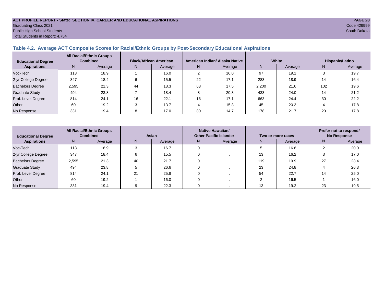#### **ACT PROFILE REPORT - State: SECTION IV, CAREER AND EDUCATIONAL ASPIRATIONS PAGE 28**

Graduating Class 2021 Code 429999 Public High School Students South Dakota (Control of the Control of the Control of the Control of the Control of the Control of the Control of the Control of the Control of the Control of the Control of the Control of the

### **Table 4.2. Average ACT Composite Scores for Racial/Ethnic Groups by Post-Secondary Educational Aspirations**

| <b>All Racial/Ethnic Groups</b><br><b>Combined</b><br><b>Educational Degree</b> |       | <b>Black/African American</b> |    | American Indian/ Alaska Native |    |         | White | <b>Hispanic/Latino</b> |            |         |
|---------------------------------------------------------------------------------|-------|-------------------------------|----|--------------------------------|----|---------|-------|------------------------|------------|---------|
| <b>Aspirations</b>                                                              | N     | Average                       | N. | Average                        | N  | Average | Ν     | Average                | N.         | Average |
| Voc-Tech                                                                        | 113   | 18.9                          |    | 16.0                           |    | 16.0    | 97    | 19.1                   | $\sqrt{2}$ | 19.7    |
| 2-yr College Degree                                                             | 347   | 18.4                          |    | 15.5                           | 22 | 17.1    | 283   | 18.9                   | 14         | 16.4    |
| <b>Bachelors Degree</b>                                                         | 2,595 | 21.3                          | 44 | 18.3                           | 63 | 17.5    | 2,200 | 21.6                   | 102        | 19.6    |
| <b>Graduate Study</b>                                                           | 494   | 23.8                          |    | 18.4                           |    | 20.3    | 433   | 24.0                   | 14         | 21.2    |
| Prof. Level Degree                                                              | 814   | 24.1                          | 16 | 22.1                           | 16 | 17.1    | 663   | 24.4                   | 30         | 22.2    |
| Other                                                                           | 60    | 19.2                          |    | 13.7                           |    | 15.8    | 45    | 20.3                   |            | 17.8    |
| No Response                                                                     | 331   | 19.4                          |    | 17.0                           | 80 | 14.7    | 178   | 21.7                   | 20         | 17.8    |

| <b>All Racial/Ethnic Groups</b><br><b>Combined</b><br><b>Educational Degree</b> |       | Asian   |    |         | Native Hawaiian/<br><b>Other Pacific Islander</b> |         | Two or more races | Prefer not to respond/<br><b>No Response</b> |    |         |
|---------------------------------------------------------------------------------|-------|---------|----|---------|---------------------------------------------------|---------|-------------------|----------------------------------------------|----|---------|
| <b>Aspirations</b>                                                              | N.    | Average | N. | Average | N.                                                | Average | N                 | Average                                      | N. | Average |
| Voc-Tech                                                                        | 113   | 18.9    |    | 16.7    |                                                   |         |                   | 16.8                                         |    | 20.0    |
| 2-yr College Degree                                                             | 347   | 18.4    | 6  | 15.5    |                                                   |         | 13                | 16.2                                         |    | 17.0    |
| <b>Bachelors Degree</b>                                                         | 2,595 | 21.3    | 40 | 21.7    |                                                   |         | 119               | 19.9                                         | 27 | 23.4    |
| <b>Graduate Study</b>                                                           | 494   | 23.8    |    | 26.6    |                                                   |         | 23                | 24.8                                         |    | 26.3    |
| Prof. Level Degree                                                              | 814   | 24.1    | 21 | 25.8    |                                                   |         | 54                | 22.7                                         | 14 | 25.0    |
| Other                                                                           | 60    | 19.2    |    | 16.0    |                                                   |         |                   | 16.5                                         |    | 16.0    |
| No Response                                                                     | 331   | 19.4    |    | 22.3    |                                                   |         | 13                | 19.2                                         | 23 | 19.5    |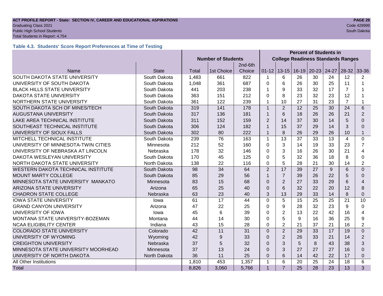#### **ACT PROFILE REPORT - State: SECTION IV, CAREER AND EDUCATIONAL ASPIRATIONS PAGE 29**

Graduating Class 2021 Code 429999 Public High School Students

Total Students in Report: 4,754

#### **Table 4.3. Students' Score Report Preferences at Time of Testing**

|                                     |              | <b>Percent of Students in</b> |                           |         |                                           |                |         |           |       |                |                |
|-------------------------------------|--------------|-------------------------------|---------------------------|---------|-------------------------------------------|----------------|---------|-----------|-------|----------------|----------------|
|                                     |              |                               | <b>Number of Students</b> |         | <b>College Readiness Standards Ranges</b> |                |         |           |       |                |                |
|                                     |              |                               |                           | 2nd-6th |                                           |                |         |           |       |                |                |
| Name                                | <b>State</b> | Total                         | 1st Choice                | Choice  | $01 - 12$                                 | $13 - 15$      | $16-19$ | $20 - 23$ | 24-27 | 28-32          | 33-36          |
| SOUTH DAKOTA STATE UNIVERSITY       | South Dakota | 1,483                         | 661                       | 822     | $\mathbf{1}$                              | 6              | 26      | 30        | 24    | 12             | 2              |
| UNIVERSITY OF SOUTH DAKOTA          | South Dakota | 1,048                         | 361                       | 687     | $\mathbf 0$                               | 6              | 26      | 30        | 25    | 11             | 1              |
| <b>BLACK HILLS STATE UNIVERSITY</b> | South Dakota | 441                           | 203                       | 238     | 1                                         | 9              | 33      | 32        | 17    | 7              |                |
| <b>DAKOTA STATE UNIVERSITY</b>      | South Dakota | 363                           | 151                       | 212     | $\Omega$                                  | 8              | 23      | 32        | 23    | 12             |                |
| NORTHERN STATE UNIVERSITY           | South Dakota | 361                           | 122                       | 239     | 1                                         | 10             | 27      | 31        | 23    | 7              | 1              |
| SOUTH DAKOTA SCH OF MINES/TECH      | South Dakota | 319                           | 141                       | 178     | $\mathbf{1}$                              | 2              | 12      | 25        | 30    | 24             | 6              |
| <b>AUGUSTANA UNIVERSITY</b>         | South Dakota | 317                           | 136                       | 181     | $\mathbf 1$                               | 6              | 18      | 26        | 26    | 21             | $\overline{2}$ |
| LAKE AREA TECHNICAL INSTITUTE       | South Dakota | 311                           | 152                       | 159     | $\overline{2}$                            | 14             | 37      | 30        | 14    | 5              | $\Omega$       |
| SOUTHEAST TECHNICAL INSTITUTE       | South Dakota | 306                           | 124                       | 182     | $\overline{1}$                            | 15             | 37      | 29        | 14    | 3              | $\Omega$       |
| UNIVERSITY OF SIOUX FALLS           | South Dakota | 302                           | 80                        | 222     | $\mathbf{1}$                              | 8              | 26      | 29        | 26    | 10             | $\mathbf 1$    |
| MITCHELL TECHNICAL INSTITUTE        | South Dakota | 239                           | 76                        | 163     | $\mathbf{1}$                              | 13             | 37      | 33        | 13    | $\overline{4}$ | 0              |
| UNIVERSITY OF MINNESOTA-TWIN CITIES | Minnesota    | 212                           | 52                        | 160     | $\mathbf 0$                               | 3              | 14      | 19        | 33    | 23             | $\overline{7}$ |
| UNIVERSITY OF NEBRASKA AT LINCOLN   | Nebraska     | 178                           | 32                        | 146     | $\Omega$                                  | 3              | 16      | 26        | 30    | 21             | 4              |
| DAKOTA WESLEYAN UNIVERSITY          | South Dakota | 170                           | 45                        | 125     | $\Omega$                                  | 5              | 32      | 36        | 18    | 8              | 0              |
| NORTH DAKOTA STATE UNIVERSITY       | North Dakota | 138                           | 22                        | 116     | $\Omega$                                  | 5              | 28      | 21        | 30    | 14             | $\overline{2}$ |
| WESTERN DAKOTA TECHNICAL INSTITUTE  | South Dakota | 98                            | 34                        | 64      | $\overline{2}$                            | 17             | 39      | 27        | 9     | 6              | $\Omega$       |
| <b>MOUNT MARTY COLLEGE</b>          | South Dakota | 85                            | 29                        | 56      | $\mathbf{1}$                              | $\overline{7}$ | 39      | 26        | 22    | 5              | $\Omega$       |
| MINNESOTA STATE UNIVERSITY MANKATO  | Minnesota    | 83                            | 15                        | 68      | 0                                         | $\overline{2}$ | 27      | 33        | 29    | 6              | 4              |
| <b>ARIZONA STATE UNIVERSITY</b>     | Arizona      | 65                            | 25                        | 40      | $\Omega$                                  | 6              | 32      | 22        | 20    | 12             | 8              |
| <b>CHADRON STATE COLLEGE</b>        | Nebraska     | 63                            | 23                        | 40      | 3                                         | 13             | 29      | 33        | 14    | 8              | $\mathbf 0$    |
| <b>IOWA STATE UNIVERSITY</b>        | lowa         | 61                            | 17                        | 44      | $\mathbf 0$                               | 5              | 15      | 25        | 25    | 21             | 10             |
| <b>GRAND CANYON UNIVERSITY</b>      | Arizona      | 47                            | 22                        | 25      | $\mathbf 0$                               | 9              | 28      | 32        | 23    | 9              | 0              |
| UNIVERSITY OF IOWA                  | lowa         | 45                            | 6                         | 39      | $\Omega$                                  | $\overline{2}$ | 13      | 22        | 42    | 16             | 4              |
| MONTANA STATE UNIVERSITY-BOZEMAN    | Montana      | 44                            | 14                        | 30      | $\Omega$                                  | 5              | 9       | 16        | 36    | 25             | 9              |
| <b>NCAA ELIGIBILITY CENTER</b>      | Indiana      | 43                            | 15                        | 28      | $\mathbf 0$                               | $\overline{2}$ | 21      | 37        | 21    | 16             | $\overline{2}$ |
| <b>COLORADO STATE UNIVERSITY</b>    | Colorado     | 42                            | 11                        | 31      | $\Omega$                                  | $\overline{2}$ | 29      | 33        | 17    | 19             | $\overline{0}$ |
| UNIVERSITY OF WYOMING               | Wyoming      | 42                            | 9                         | 33      | $\Omega$                                  | $\overline{2}$ | 26      | 33        | 21    | 14             | $\overline{2}$ |
| <b>CREIGHTON UNIVERSITY</b>         | Nebraska     | 37                            | 5                         | 32      | 0                                         | 3              | 5       | 8         | 43    | 38             | 3              |
| MINNESOTA STATE UNIVERSITY MOORHEAD | Minnesota    | 37                            | 13                        | 24      | $\Omega$                                  | 3              | 27      | 27        | 27    | 16             | $\Omega$       |
| UNIVERSITY OF NORTH DAKOTA          | North Dakota | 36                            | 11                        | 25      | $\Omega$                                  | 6              | 14      | 42        | 22    | 17             | 0              |
| All Other Institutions              |              | 1,810                         | 453                       | 1,357   | $\mathbf{1}$                              | 6              | 20      | 25        | 24    | 18             | 6              |
| Total                               |              | 8.826                         | 3,060                     | 5,766   | $\overline{1}$                            | $\overline{7}$ | 25      | 28        | 23    | 13             | 3              |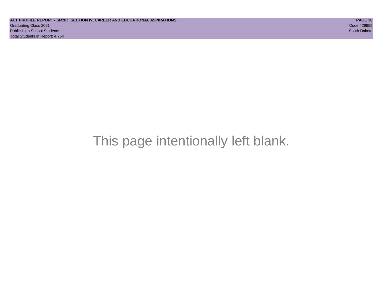### This page intentionally left blank.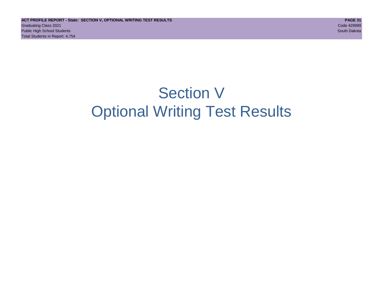# Section V Optional Writing Test Results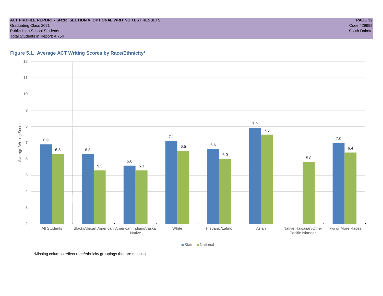



■State ■National

\*Missing columns reflect race/ethnicity groupings that are missing.